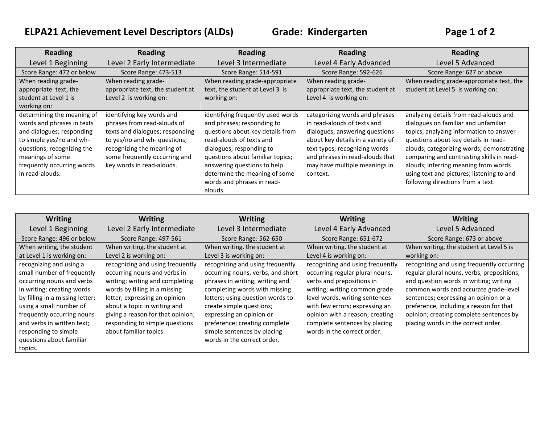## **ELPA21 Achievement Level Descriptors (ALDs) Grade: Kindergarten Page 1 of 2**

| <b>Reading</b>             | <b>Reading</b>                   | <b>Reading</b>                    | <b>Reading</b>                    | <b>Reading</b>                            |
|----------------------------|----------------------------------|-----------------------------------|-----------------------------------|-------------------------------------------|
| Level 1 Beginning          | Level 2 Early Intermediate       | Level 3 Intermediate              | Level 4 Early Advanced            | Level 5 Advanced                          |
| Score Range: 472 or below  | <b>Score Range: 473-513</b>      | Score Range: 514-591              | <b>Score Range: 592-626</b>       | Score Range: 627 or above                 |
| When reading grade-        | When reading grade-              | When reading grade-appropriate    | When reading grade-               | When reading grade-appropriate text, the  |
| appropriate text, the      | appropriate text, the student at | text, the student at Level 3 is   | appropriate text, the student at  | student at Level 5 is working on:         |
| student at Level 1 is      | Level 2 is working on:           | working on:                       | Level 4 is working on:            |                                           |
| working on:                |                                  |                                   |                                   |                                           |
| determining the meaning of | identifying key words and        | identifying frequently used words | categorizing words and phrases    | analyzing details from read-alouds and    |
| words and phrases in texts | phrases from read-alouds of      | and phrases; responding to        | in read-alouds of texts and       | dialogues on familiar and unfamiliar      |
| and dialogues; responding  | texts and dialogues; responding  | questions about key details from  | dialogues; answering questions    | topics; analyzing information to answer   |
| to simple yes/no and wh-   | to yes/no and wh- questions;     | read-alouds of texts and          | about key details in a variety of | questions about key details in read-      |
| questions; recognizing the | recognizing the meaning of       | dialogues; responding to          | text types; recognizing words     | alouds; categorizing words; demonstrating |
| meanings of some           | some frequently occurring and    | questions about familiar topics;  | and phrases in read-alouds that   | comparing and contrasting skills in read- |
| frequently occurring words | key words in read-alouds.        | answering questions to help       | may have multiple meanings in     | alouds; inferring meaning from words      |
| in read-alouds.            |                                  | determine the meaning of some     | context.                          | using text and pictures; listening to and |
|                            |                                  | words and phrases in read-        |                                   | following directions from a text.         |
|                            |                                  | alouds.                           |                                   |                                           |

| <b>Writing</b>                  | <b>Writing</b>                    | <b>Writing</b>                    | <b>Writing</b>                   | <b>Writing</b>                             |
|---------------------------------|-----------------------------------|-----------------------------------|----------------------------------|--------------------------------------------|
| Level 1 Beginning               | Level 2 Early Intermediate        | Level 3 Intermediate              | Level 4 Early Advanced           | Level 5 Advanced                           |
| Score Range: 496 or below       | <b>Score Range: 497-561</b>       | Score Range: 562-650              | Score Range: 651-672             | Score Range: 673 or above                  |
| When writing, the student       | When writing, the student at      | When writing, the student at      | When writing, the student at     | When writing, the student at Level 5 is    |
| at Level 1 is working on:       | Level 2 is working on:            | Level 3 is working on:            | Level 4 is working on:           | working on:                                |
| recognizing and using a         | recognizing and using frequently  | recognizing and using frequently  | recognizing and using frequently | recognizing and using frequently occurring |
| small number of frequently      | occurring nouns and verbs in      | occurring nouns, verbs, and short | occurring regular plural nouns,  | regular plural nouns, verbs, prepositions, |
| occurring nouns and verbs       | writing; writing and completing   | phrases in writing; writing and   | verbs and prepositions in        | and question words in writing; writing     |
| in writing; creating words      | words by filling in a missing     | completing words with missing     | writing; writing common grade    | common words and accurate grade-level      |
| by filling in a missing letter; | letter; expressing an opinion     | letters; using question words to  | level words, writing sentences   | sentences; expressing an opinion or a      |
| using a small number of         | about a topic in writing and      | create simple questions;          | with few errors; expressing an   | preference, including a reason for that    |
| frequently occurring nouns      | giving a reason for that opinion; | expressing an opinion or          | opinion with a reason; creating  | opinion; creating complete sentences by    |
| and verbs in written text;      | responding to simple questions    | preference; creating complete     | complete sentences by placing    | placing words in the correct order.        |
| responding to simple            | about familiar topics             | simple sentences by placing       | words in the correct order.      |                                            |
| questions about familiar        |                                   | words in the correct order.       |                                  |                                            |
| topics.                         |                                   |                                   |                                  |                                            |